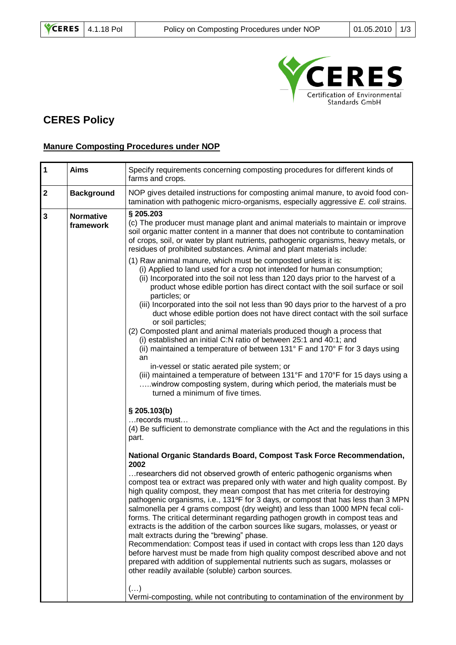

## **CERES Policy**

## **Manure Composting Procedures under NOP**

| $\mathbf{1}$            | <b>Aims</b>                   | Specify requirements concerning composting procedures for different kinds of<br>farms and crops.                                                                                                                                                                                                                                                                                                                                                                                                                                                                                                                                                                                                                                                                                                                                                                                                                                                                                                                                                                                                                                                                                                                                                                                                                                |
|-------------------------|-------------------------------|---------------------------------------------------------------------------------------------------------------------------------------------------------------------------------------------------------------------------------------------------------------------------------------------------------------------------------------------------------------------------------------------------------------------------------------------------------------------------------------------------------------------------------------------------------------------------------------------------------------------------------------------------------------------------------------------------------------------------------------------------------------------------------------------------------------------------------------------------------------------------------------------------------------------------------------------------------------------------------------------------------------------------------------------------------------------------------------------------------------------------------------------------------------------------------------------------------------------------------------------------------------------------------------------------------------------------------|
| $\overline{\mathbf{2}}$ | <b>Background</b>             | NOP gives detailed instructions for composting animal manure, to avoid food con-<br>tamination with pathogenic micro-organisms, especially aggressive E. coli strains.                                                                                                                                                                                                                                                                                                                                                                                                                                                                                                                                                                                                                                                                                                                                                                                                                                                                                                                                                                                                                                                                                                                                                          |
| $\mathbf{3}$            | <b>Normative</b><br>framework | § 205.203<br>(c) The producer must manage plant and animal materials to maintain or improve<br>soil organic matter content in a manner that does not contribute to contamination<br>of crops, soil, or water by plant nutrients, pathogenic organisms, heavy metals, or<br>residues of prohibited substances. Animal and plant materials include:<br>(1) Raw animal manure, which must be composted unless it is:<br>(i) Applied to land used for a crop not intended for human consumption;<br>(ii) Incorporated into the soil not less than 120 days prior to the harvest of a<br>product whose edible portion has direct contact with the soil surface or soil<br>particles; or<br>(iii) Incorporated into the soil not less than 90 days prior to the harvest of a pro<br>duct whose edible portion does not have direct contact with the soil surface<br>or soil particles;<br>(2) Composted plant and animal materials produced though a process that<br>(i) established an initial C:N ratio of between 25:1 and 40:1; and<br>(ii) maintained a temperature of between 131° F and 170° F for 3 days using<br>an<br>in-vessel or static aerated pile system; or<br>(iii) maintained a temperature of between 131°F and 170°F for 15 days using a<br>windrow composting system, during which period, the materials must be |
|                         |                               | turned a minimum of five times.<br>$§$ 205.103(b)<br>records must<br>(4) Be sufficient to demonstrate compliance with the Act and the regulations in this<br>part.<br>National Organic Standards Board, Compost Task Force Recommendation,<br>2002<br>researchers did not observed growth of enteric pathogenic organisms when<br>compost tea or extract was prepared only with water and high quality compost. By<br>high quality compost, they mean compost that has met criteria for destroying<br>pathogenic organisms, i.e., 131ºF for 3 days, or compost that has less than 3 MPN<br>salmonella per 4 grams compost (dry weight) and less than 1000 MPN fecal coli-<br>forms. The critical determinant regarding pathogen growth in compost teas and<br>extracts is the addition of the carbon sources like sugars, molasses, or yeast or<br>malt extracts during the "brewing" phase.<br>Recommendation: Compost teas if used in contact with crops less than 120 days<br>before harvest must be made from high quality compost described above and not<br>prepared with addition of supplemental nutrients such as sugars, molasses or<br>other readily available (soluble) carbon sources.<br>$(\ldots)$<br>Vermi-composting, while not contributing to contamination of the environment by                            |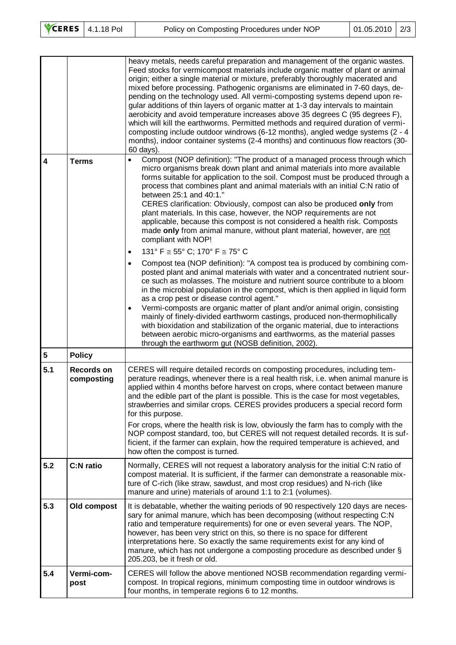|                         |                                 | heavy metals, needs careful preparation and management of the organic wastes.<br>Feed stocks for vermicompost materials include organic matter of plant or animal<br>origin; either a single material or mixture, preferably thoroughly macerated and<br>mixed before processing. Pathogenic organisms are eliminated in 7-60 days, de-<br>pending on the technology used. All vermi-composting systems depend upon re-<br>gular additions of thin layers of organic matter at 1-3 day intervals to maintain<br>aerobicity and avoid temperature increases above 35 degrees C (95 degrees F),<br>which will kill the earthworms. Permitted methods and required duration of vermi-<br>composting include outdoor windrows (6-12 months), angled wedge systems (2 - 4<br>months), indoor container systems (2-4 months) and continuous flow reactors (30-<br>60 days). |
|-------------------------|---------------------------------|-----------------------------------------------------------------------------------------------------------------------------------------------------------------------------------------------------------------------------------------------------------------------------------------------------------------------------------------------------------------------------------------------------------------------------------------------------------------------------------------------------------------------------------------------------------------------------------------------------------------------------------------------------------------------------------------------------------------------------------------------------------------------------------------------------------------------------------------------------------------------|
| $\overline{\mathbf{4}}$ | <b>Terms</b>                    | Compost (NOP definition): "The product of a managed process through which<br>$\bullet$<br>micro organisms break down plant and animal materials into more available<br>forms suitable for application to the soil. Compost must be produced through a<br>process that combines plant and animal materials with an initial C:N ratio of<br>between 25:1 and 40:1."<br>CERES clarification: Obviously, compost can also be produced only from<br>plant materials. In this case, however, the NOP requirements are not<br>applicable, because this compost is not considered a health risk. Composts<br>made only from animal manure, without plant material, however, are not<br>compliant with NOP!<br>131° F $\cong$ 55° C; 170° F $\cong$ 75° C<br>$\bullet$                                                                                                         |
|                         |                                 | Compost tea (NOP definition): "A compost tea is produced by combining com-<br>$\bullet$<br>posted plant and animal materials with water and a concentrated nutrient sour-<br>ce such as molasses. The moisture and nutrient source contribute to a bloom<br>in the microbial population in the compost, which is then applied in liquid form<br>as a crop pest or disease control agent."<br>Vermi-composts are organic matter of plant and/or animal origin, consisting<br>$\bullet$<br>mainly of finely-divided earthworm castings, produced non-thermophilically<br>with bioxidation and stabilization of the organic material, due to interactions<br>between aerobic micro-organisms and earthworms, as the material passes<br>through the earthworm gut (NOSB definition, 2002).                                                                                |
| $\overline{\mathbf{5}}$ | <b>Policy</b>                   |                                                                                                                                                                                                                                                                                                                                                                                                                                                                                                                                                                                                                                                                                                                                                                                                                                                                       |
| 5.1                     | <b>Records on</b><br>composting | CERES will require detailed records on composting procedures, including tem-<br>perature readings, whenever there is a real health risk, i.e. when animal manure is<br>applied within 4 months before harvest on crops, where contact between manure<br>and the edible part of the plant is possible. This is the case for most vegetables,<br>strawberries and similar crops. CERES provides producers a special record form<br>for this purpose.<br>For crops, where the health risk is low, obviously the farm has to comply with the<br>NOP compost standard, too, but CERES will not request detailed records. It is suf-<br>ficient, if the farmer can explain, how the required temperature is achieved, and<br>how often the compost is turned.                                                                                                               |
| 5.2                     | <b>C:N</b> ratio                | Normally, CERES will not request a laboratory analysis for the initial C:N ratio of<br>compost material. It is sufficient, if the farmer can demonstrate a reasonable mix-<br>ture of C-rich (like straw, sawdust, and most crop residues) and N-rich (like<br>manure and urine) materials of around 1:1 to 2:1 (volumes).                                                                                                                                                                                                                                                                                                                                                                                                                                                                                                                                            |
| 5.3                     | Old compost                     | It is debatable, whether the waiting periods of 90 respectively 120 days are neces-<br>sary for animal manure, which has been decomposing (without respecting C:N<br>ratio and temperature requirements) for one or even several years. The NOP,<br>however, has been very strict on this, so there is no space for different<br>interpretations here. So exactly the same requirements exist for any kind of<br>manure, which has not undergone a composting procedure as described under §<br>205.203, be it fresh or old.                                                                                                                                                                                                                                                                                                                                          |
| 5.4                     | Vermi-com-<br>post              | CERES will follow the above mentioned NOSB recommendation regarding vermi-<br>compost. In tropical regions, minimum composting time in outdoor windrows is<br>four months, in temperate regions 6 to 12 months.                                                                                                                                                                                                                                                                                                                                                                                                                                                                                                                                                                                                                                                       |